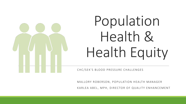# Population Health & Health Equity

CHC/SEK'S BLOOD PRESSURE CHALLENGES

MALLORY ROBERSON, POPULATION HEALTH MANAGER KARLEA ABEL, MPH, DIRECTOR OF QUALITY ENHANCEMENT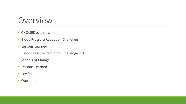#### Overview

- CHC/SEK overview
- Blood Pressure Reduction Challenge
- Lessons Learned
- Blood Pressure Reduction Challenge 2.0
- Models of Change
- Lessons Learned
- Key Points
- Questions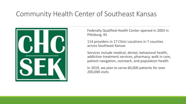#### Community Health Center of Southeast Kansas



Federally Qualified Health Center opened in 2003 in Pittsburg, KS

114 providers in 17 Clinic Locations in 7 counties across Southeast Kansas

Services include medical, dental, behavioral health, addiction treatment services, pharmacy, walk in care, patient navigation, outreach, and population health

In 2019, we plan to serve 60,000 patients for over 200,000 visits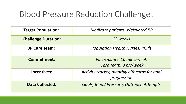# Blood Pressure Reduction Challenge!

| <b>Target Population:</b>  | Medicare patients w/elevated BP                              |
|----------------------------|--------------------------------------------------------------|
| <b>Challenge Duration:</b> | 12 weeks                                                     |
| <b>BP Care Team:</b>       | <b>Population Health Nurses, PCP's</b>                       |
| <b>Commitment:</b>         | Participants: 10 mins/week<br>Care Team: 3 hrs/week          |
| <b>Incentives:</b>         | Activity tracker, monthly gift cards for goal<br>progression |
| <b>Data Collected:</b>     | Goals, Blood Pressure, Outreach Attempts                     |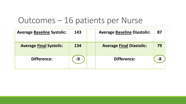## Outcomes – 16 patients per Nurse

| <b>Average Baseline Systolic:</b> | 143 | <b>Average Baseline Diastolic:</b> | 87 |
|-----------------------------------|-----|------------------------------------|----|
| <b>Average Final Systolic:</b>    | 134 | <b>Average Final Diastolic:</b>    | 79 |
| Difference:                       | -9  | Difference:                        |    |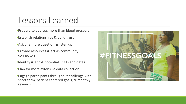#### Lessons Learned

- •Prepare to address more than blood pressure
- •Establish relationships & build trust
- •Ask one more question & listen up
- •Provide resources & act as community connectors
- •Identify & enroll potential CCM candidates
- •Plan for more extensive data collection
- •Engage participants throughout challenge with short term, patient centered goals, & monthly rewards

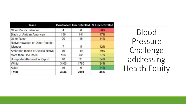| Race                                         |      |      | <b>Controlled Uncontrolled % Uncontrolled</b> |
|----------------------------------------------|------|------|-----------------------------------------------|
| Other Pacific Islander                       | 4    | 6    | 60%                                           |
| <b>Black or African American</b>             | 156  | 141  | 47%                                           |
| <b>Other Race</b>                            | 20   | 16   | 44%                                           |
| Native Hawaiian or Other Pacific<br>Islander |      | 5    | 42%                                           |
| American Indian or Alaska Native             | 76   | 49   | 39%                                           |
| More than One Race                           | 106  | 62   | 37%                                           |
| Unreported/Refused to Report                 | 40   | 21   | 34%                                           |
| White                                        | 3406 | 1785 | 34%                                           |
| Asian                                        | 19   | 6    | 24%                                           |
| <b>Total</b>                                 | 3834 | 2091 | 35%                                           |

Blood Pressure Challenge addressing Health Equity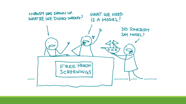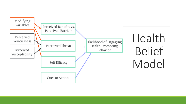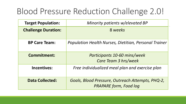# Blood Pressure Reduction Challenge 2.0!

| <b>Target Population:</b>  | Minority patients w/elevated BP                                                   |
|----------------------------|-----------------------------------------------------------------------------------|
| <b>Challenge Duration:</b> | 8 weeks                                                                           |
| <b>BP Care Team:</b>       | <b>Population Health Nurses, Dietitian, Personal Trainer</b>                      |
| <b>Commitment:</b>         | Participants 10-60 mins/week<br>Care Team 3 hrs/week                              |
| <b>Incentives:</b>         | Free individualized meal plan and exercise plan                                   |
| <b>Data Collected:</b>     | Goals, Blood Pressure, Outreach Attempts, PHQ-2,<br><b>PRAPARE form, Food log</b> |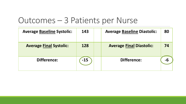## Outcomes – 3 Patients per Nurse

| <b>Average Baseline Systolic:</b> | 143   | <b>Average Baseline Diastolic:</b> | 80 |
|-----------------------------------|-------|------------------------------------|----|
| <b>Average Final Systolic:</b>    | 128   | <b>Average Final Diastolic:</b>    | 74 |
| <b>Difference:</b>                | $-15$ | Difference:                        | -6 |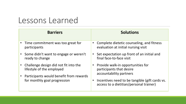## Lessons Learned

| <b>Barriers</b>                                                                                                                                                         | <b>Solutions</b>                                                                          |
|-------------------------------------------------------------------------------------------------------------------------------------------------------------------------|-------------------------------------------------------------------------------------------|
| • Time commitment was too great for<br>participants                                                                                                                     | Complete dietetic counseling, and fitness<br>evaluation at initial nursing visit          |
| Some didn't want to engage or weren't<br>ready to change                                                                                                                | Set expectation up front of an initial and<br>final face-to-face visit                    |
| Challenge design did not fit into the<br>$\bullet$<br>lifestyle of the employed<br>Participants would benefit from rewards<br>$\bullet$<br>for monthly goal progression | Provide walk-in opportunities for<br>participants that desire<br>accountability partners  |
|                                                                                                                                                                         | Incentives need to be tangible (gift cards vs.<br>access to a dietitian/personal trainer) |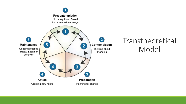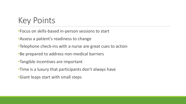# Key Points

- •Focus on skills-based in-person sessions to start
- •Assess a patient's readiness to change
- •Telephone check-ins with a nurse are great cues to action
- •Be prepared to address non-medical barriers
- •Tangible incentives are important
- •Time is a luxury that participants don't always have
- •Giant leaps start with small steps